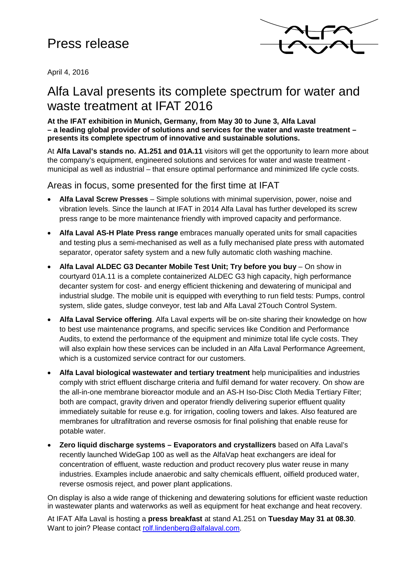# Press release



April 4, 2016

## Alfa Laval presents its complete spectrum for water and waste treatment at IFAT 2016

#### **At the IFAT exhibition in Munich, Germany, from May 30 to June 3, Alfa Laval – a leading global provider of solutions and services for the water and waste treatment – presents its complete spectrum of innovative and sustainable solutions.**

At **Alfa Laval's stands no. A1.251 and 01A.11** visitors will get the opportunity to learn more about the company's equipment, engineered solutions and services for water and waste treatment municipal as well as industrial – that ensure optimal performance and minimized life cycle costs.

## Areas in focus, some presented for the first time at IFAT

- **Alfa Laval Screw Presses** Simple solutions with minimal supervision, power, noise and vibration levels. Since the launch at IFAT in 2014 Alfa Laval has further developed its screw press range to be more maintenance friendly with improved capacity and performance.
- **Alfa Laval AS-H Plate Press range** embraces manually operated units for small capacities and testing plus a semi-mechanised as well as a fully mechanised plate press with automated separator, operator safety system and a new fully automatic cloth washing machine.
- **Alfa Laval ALDEC G3 Decanter Mobile Test Unit; Try before you buy** On show in courtyard 01A.11 is a complete containerized ALDEC G3 high capacity, high performance decanter system for cost- and energy efficient thickening and dewatering of municipal and industrial sludge. The mobile unit is equipped with everything to run field tests: Pumps, control system, slide gates, sludge conveyor, test lab and Alfa Laval 2Touch Control System.
- **Alfa Laval Service offering**. Alfa Laval experts will be on-site sharing their knowledge on how to best use maintenance programs, and specific services like Condition and Performance Audits, to extend the performance of the equipment and minimize total life cycle costs. They will also explain how these services can be included in an Alfa Laval Performance Agreement. which is a customized service contract for our customers.
- **Alfa Laval biological wastewater and tertiary treatment** help municipalities and industries comply with strict effluent discharge criteria and fulfil demand for water recovery. On show are the all-in-one membrane bioreactor module and an AS-H Iso-Disc Cloth Media Tertiary Filter; both are compact, gravity driven and operator friendly delivering superior effluent quality immediately suitable for reuse e.g. for irrigation, cooling towers and lakes. Also featured are membranes for ultrafiltration and reverse osmosis for final polishing that enable reuse for potable water.
- **Zero liquid discharge systems – Evaporators and crystallizers** based on Alfa Laval's recently launched WideGap 100 as well as the AlfaVap heat exchangers are ideal for concentration of effluent, waste reduction and product recovery plus water reuse in many industries. Examples include anaerobic and salty chemicals effluent, oilfield produced water, reverse osmosis reject, and power plant applications.

On display is also a wide range of thickening and dewatering solutions for efficient waste reduction in wastewater plants and waterworks as well as equipment for heat exchange and heat recovery.

At IFAT Alfa Laval is hosting a **press breakfast** at stand A1.251 on **Tuesday May 31 at 08.30**. Want to join? Please contact [rolf.lindenberg@alfalaval.com.](mailto:rolf.lindenberg@alfalaval.com)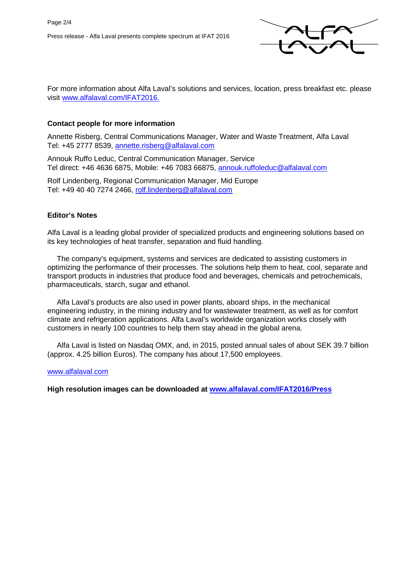

For more information about Alfa Laval's solutions and services, location, press breakfast etc. please visit [www.alfalaval.com/IFAT2016.](http://www.alfalaval.com/IFAT2016)

## **Contact people for more information**

Annette Risberg, Central Communications Manager, Water and Waste Treatment, Alfa Laval Tel: +45 2777 8539, [annette.risberg@alfalaval.com](mailto:annette.risberg@alfalaval.com)

Annouk Ruffo Leduc, Central Communication Manager, Service Tel direct: +46 4636 6875, Mobile: +46 7083 66875, [annouk.ruffoleduc@alfalaval.com](mailto:annouk.ruffoleduc@alfalaval.com)

Rolf Lindenberg, Regional Communication Manager, Mid Europe Tel: +49 40 40 7274 2466, [rolf.lindenberg@alfalaval.com](mailto:rolf.lindenberg@alfalaval.com)

## **Editor's Notes**

Alfa Laval is a leading global provider of specialized products and engineering solutions based on its key technologies of heat transfer, separation and fluid handling.

The company's equipment, systems and services are dedicated to assisting customers in optimizing the performance of their processes. The solutions help them to heat, cool, separate and transport products in industries that produce food and beverages, chemicals and petrochemicals, pharmaceuticals, starch, sugar and ethanol.

Alfa Laval's products are also used in power plants, aboard ships, in the mechanical engineering industry, in the mining industry and for wastewater treatment, as well as for comfort climate and refrigeration applications. Alfa Laval's worldwide organization works closely with customers in nearly 100 countries to help them stay ahead in the global arena.

Alfa Laval is listed on Nasdaq OMX, and, in 2015, posted annual sales of about SEK 39.7 billion (approx. 4.25 billion Euros). The company has about 17,500 employees.

### [www.alfalaval.com](http://www.alfalaval.com/)

**High resolution images can be downloaded at [www.alfalaval.com/IFAT2016/Press](http://www.alfalaval.com/IFAT2016/Press)**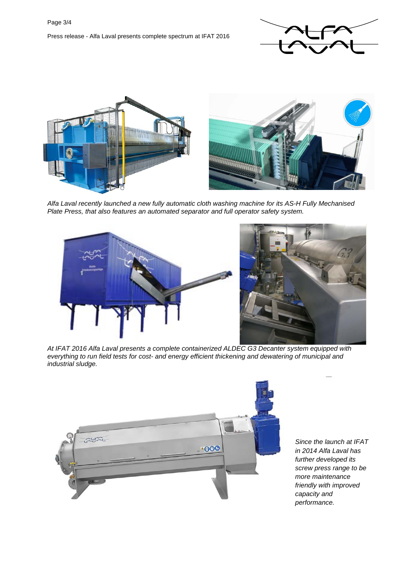



*Alfa Laval recently launched a new fully automatic cloth washing machine for its AS-H Fully Mechanised Plate Press, that also features an automated separator and full operator safety system.*





*At IFAT 2016 Alfa Laval presents a complete containerized ALDEC G3 Decanter system equipped with everything to run field tests for cost- and energy efficient thickening and dewatering of municipal and industrial sludge.*



*Since the launch at IFAT in 2014 Alfa Laval has further developed its screw press range to be more maintenance friendly with improved capacity and performance.*